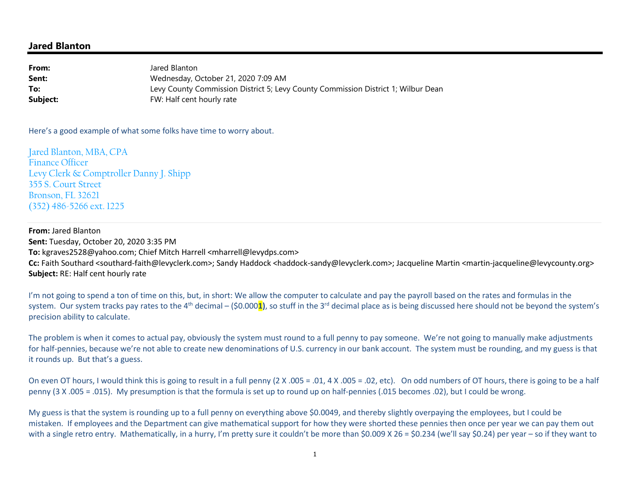## **Jared Blanton**

**From:** Jared Blanton Wednesday, October 21, 2020 7:09 AM**Sent:** Levy County Commission District 5; Levy County Commission District 1; Wilbur Dean**To:Subject:**FW: Half cent hourly rate

Here's a good example of what some folks have time to worry about.

Jared Blanton, MBA, CPA Finance Officer Levy Clerk & Comptroller Danny J. Shipp 355 S. Court Street Bronson, FL 32621 (352) 486-5266 ext. 1225

**From:** Jared Blanton **Sent:** Tuesday, October 20, 2020 3:35 PM **To:** kgraves2528@yahoo.com; Chief Mitch Harrell <mharrell@levydps.com> **Cc:** Faith Southard <southard-faith@levyclerk.com>; Sandy Haddock <haddock-sandy@levyclerk.com>; Jacqueline Martin <martin-jacqueline@levycounty.org> **Subject:** RE: Half cent hourly rate

I'm not going to spend a ton of time on this, but, in short: We allow the computer to calculate and pay the payroll based on the rates and formulas in the system. Our system tracks pay rates to the 4<sup>th</sup> decimal – (\$0.000<mark>1</mark>), so stuff in the 3<sup>rd</sup> decimal place as is being discussed here should not be beyond the system's precision ability to calculate.

The problem is when it comes to actual pay, obviously the system must round to a full penny to pay someone. We're not going to manually make adjustments for half-pennies, because we're not able to create new denominations of U.S. currency in our bank account. The system must be rounding, and my guess is that it rounds up. But that's a guess.

On even OT hours, I would think this is going to result in a full penny (2 X .005 = .01, 4 X .005 = .02, etc). On odd numbers of OT hours, there is going to be a half penny (3 X .005 = .015). My presumption is that the formula is set up to round up on half-pennies (.015 becomes .02), but I could be wrong.

My guess is that the system is rounding up to a full penny on everything above \$0.0049, and thereby slightly overpaying the employees, but I could be mistaken. If employees and the Department can give mathematical support for how they were shorted these pennies then once per year we can pay them out with a single retro entry. Mathematically, in a hurry, I'm pretty sure it couldn't be more than \$0.009 X 26 = \$0.234 (we'll say \$0.24) per year – so if they want to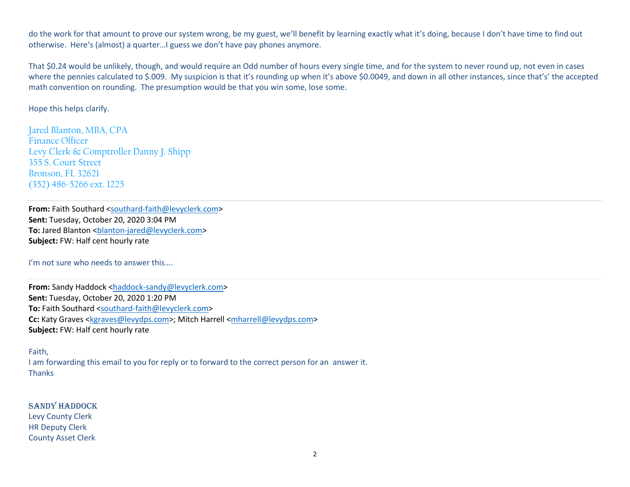do the work for that amount to prove our system wrong, be my guest, we'll benefit by learning exactly what it's doing, because I don't have time to find out otherwise. Here's (almost) a quarter…I guess we don't have pay phones anymore.

That \$0.24 would be unlikely, though, and would require an Odd number of hours every single time, and for the system to never round up, not even in caseswhere the pennies calculated to \$.009. My suspicion is that it's rounding up when it's above \$0.0049, and down in all other instances, since that's' the accepted math convention on rounding. The presumption would be that you win some, lose some.

Hope this helps clarify.

Jared Blanton, MBA, CPA Finance Officer Levy Clerk & Comptroller Danny J. Shipp 355 S. Court Street Bronson, FL 32621 (352) 486-5266 ext. 1225

**From:** Faith Southard <southard-faith@levyclerk.com> **Sent:** Tuesday, October 20, 2020 3:04 PM To: Jared Blanton <br />
clanton-jared@levyclerk.com> **Subject:** FW: Half cent hourly rate

I'm not sure who needs to answer this….

From: Sandy Haddock <haddock-sandy@levyclerk.com> **Sent:** Tuesday, October 20, 2020 1:20 PM **To:** Faith Southard <southard-faith@levyclerk.com> **Cc:** Katy Graves <kgraves@levydps.com>; Mitch Harrell <mharrell@levydps.com> **Subject:** FW: Half cent hourly rate

Faith,

I am forwarding this email to you for reply or to forward to the correct person for an answer it. **Thanks** 

SANDY HADDOCK Levy County Clerk HR Deputy Clerk County Asset Clerk